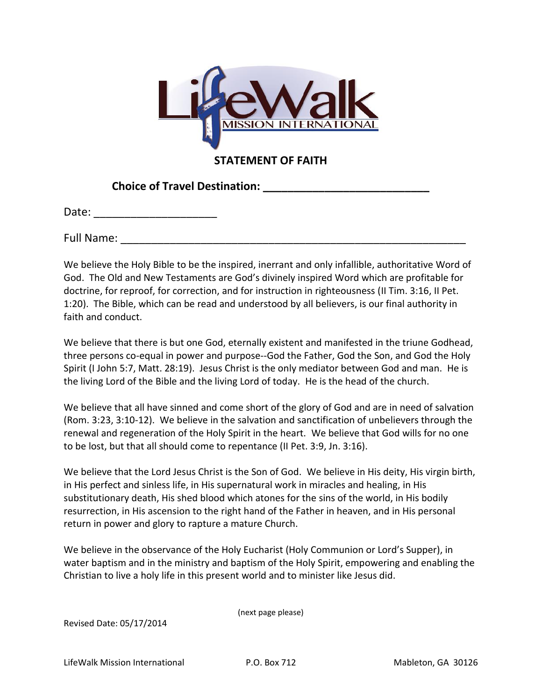

**STATEMENT OF FAITH**

**Choice of Travel Destination: \_\_\_\_\_\_\_\_\_\_\_\_\_\_\_\_\_\_\_\_\_\_\_\_\_\_\_**

Date:  $\Box$ 

Full Name:  $\blacksquare$ 

We believe the Holy Bible to be the inspired, inerrant and only infallible, authoritative Word of God. The Old and New Testaments are God's divinely inspired Word which are profitable for doctrine, for reproof, for correction, and for instruction in righteousness (II Tim. 3:16, II Pet. 1:20). The Bible, which can be read and understood by all believers, is our final authority in faith and conduct.

We believe that there is but one God, eternally existent and manifested in the triune Godhead, three persons co-equal in power and purpose--God the Father, God the Son, and God the Holy Spirit (I John 5:7, Matt. 28:19). Jesus Christ is the only mediator between God and man. He is the living Lord of the Bible and the living Lord of today. He is the head of the church.

We believe that all have sinned and come short of the glory of God and are in need of salvation (Rom. 3:23, 3:10-12). We believe in the salvation and sanctification of unbelievers through the renewal and regeneration of the Holy Spirit in the heart. We believe that God wills for no one to be lost, but that all should come to repentance (II Pet. 3:9, Jn. 3:16).

We believe that the Lord Jesus Christ is the Son of God. We believe in His deity, His virgin birth, in His perfect and sinless life, in His supernatural work in miracles and healing, in His substitutionary death, His shed blood which atones for the sins of the world, in His bodily resurrection, in His ascension to the right hand of the Father in heaven, and in His personal return in power and glory to rapture a mature Church.

We believe in the observance of the Holy Eucharist (Holy Communion or Lord's Supper), in water baptism and in the ministry and baptism of the Holy Spirit, empowering and enabling the Christian to live a holy life in this present world and to minister like Jesus did.

(next page please)

Revised Date: 05/17/2014